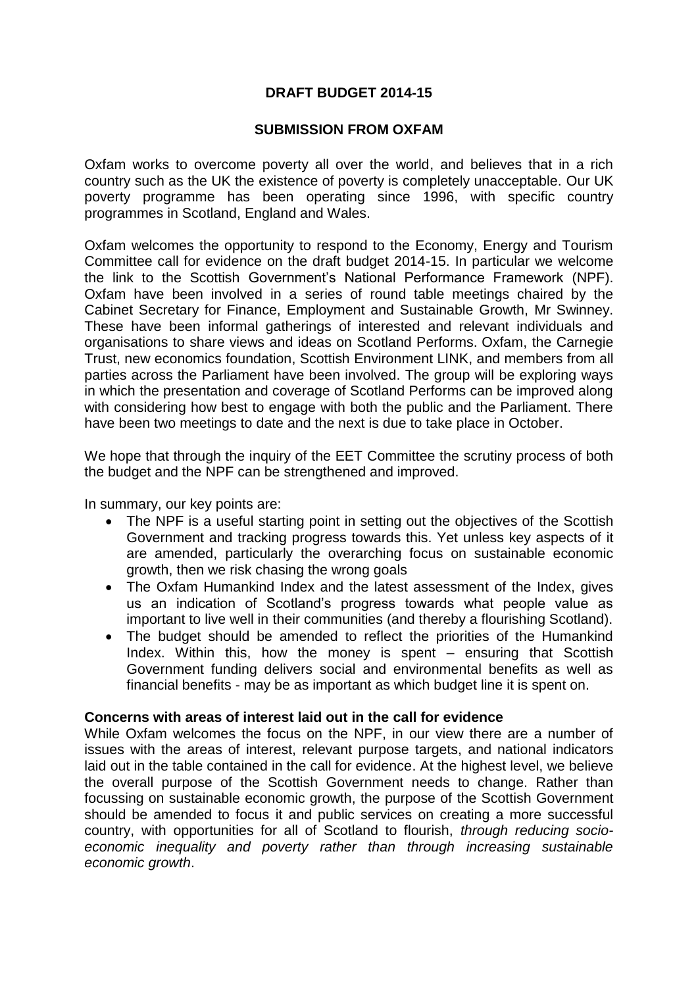# **DRAFT BUDGET 2014-15**

## **SUBMISSION FROM OXFAM**

Oxfam works to overcome poverty all over the world, and believes that in a rich country such as the UK the existence of poverty is completely unacceptable. Our UK poverty programme has been operating since 1996, with specific country programmes in Scotland, England and Wales.

Oxfam welcomes the opportunity to respond to the Economy, Energy and Tourism Committee call for evidence on the draft budget 2014-15. In particular we welcome the link to the Scottish Government's National Performance Framework (NPF). Oxfam have been involved in a series of round table meetings chaired by the Cabinet Secretary for Finance, Employment and Sustainable Growth, Mr Swinney. These have been informal gatherings of interested and relevant individuals and organisations to share views and ideas on Scotland Performs. Oxfam, the Carnegie Trust, new economics foundation, Scottish Environment LINK, and members from all parties across the Parliament have been involved. The group will be exploring ways in which the presentation and coverage of Scotland Performs can be improved along with considering how best to engage with both the public and the Parliament. There have been two meetings to date and the next is due to take place in October.

We hope that through the inquiry of the EET Committee the scrutiny process of both the budget and the NPF can be strengthened and improved.

In summary, our key points are:

- The NPF is a useful starting point in setting out the objectives of the Scottish Government and tracking progress towards this. Yet unless key aspects of it are amended, particularly the overarching focus on sustainable economic growth, then we risk chasing the wrong goals
- The Oxfam Humankind Index and the latest assessment of the Index, gives us an indication of Scotland's progress towards what people value as important to live well in their communities (and thereby a flourishing Scotland).
- The budget should be amended to reflect the priorities of the Humankind Index. Within this, how the money is spent – ensuring that Scottish Government funding delivers social and environmental benefits as well as financial benefits - may be as important as which budget line it is spent on.

#### **Concerns with areas of interest laid out in the call for evidence**

While Oxfam welcomes the focus on the NPF, in our view there are a number of issues with the areas of interest, relevant purpose targets, and national indicators laid out in the table contained in the call for evidence. At the highest level, we believe the overall purpose of the Scottish Government needs to change. Rather than focussing on sustainable economic growth, the purpose of the Scottish Government should be amended to focus it and public services on creating a more successful country, with opportunities for all of Scotland to flourish, *through reducing socioeconomic inequality and poverty rather than through increasing sustainable economic growth*.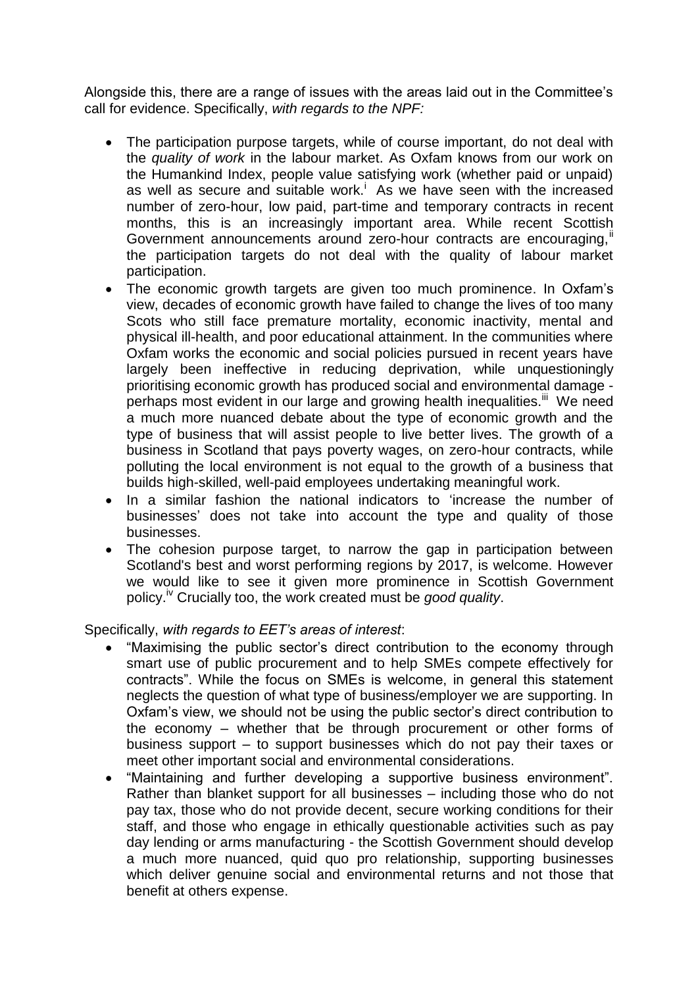Alongside this, there are a range of issues with the areas laid out in the Committee's call for evidence. Specifically, *with regards to the NPF:*

- The participation purpose targets, while of course important, do not deal with the *quality of work* in the labour market. As Oxfam knows from our work on the Humankind Index, people value satisfying work (whether paid or unpaid) as well as secure and suitable work.<sup>i</sup> As we have seen with the increased number of zero-hour, low paid, part-time and temporary contracts in recent months, this is an increasingly important area. While recent Scottish Government announcements around zero-hour contracts are encouraging, if the participation targets do not deal with the quality of labour market participation.
- The economic growth targets are given too much prominence. In Oxfam's view, decades of economic growth have failed to change the lives of too many Scots who still face premature mortality, economic inactivity, mental and physical ill-health, and poor educational attainment. In the communities where Oxfam works the economic and social policies pursued in recent years have largely been ineffective in reducing deprivation, while unquestioningly prioritising economic growth has produced social and environmental damage perhaps most evident in our large and growing health inequalities.<sup>iii</sup> We need a much more nuanced debate about the type of economic growth and the type of business that will assist people to live better lives. The growth of a business in Scotland that pays poverty wages, on zero-hour contracts, while polluting the local environment is not equal to the growth of a business that builds high-skilled, well-paid employees undertaking meaningful work.
- In a similar fashion the national indicators to 'increase the number of businesses' does not take into account the type and quality of those businesses.
- The cohesion purpose target, to narrow the gap in participation between Scotland's best and worst performing regions by 2017, is welcome. However we would like to see it given more prominence in Scottish Government policy.iv Crucially too, the work created must be *good quality*.

Specifically, *with regards to EET's areas of interest*:

- "Maximising the public sector's direct contribution to the economy through smart use of public procurement and to help SMEs compete effectively for contracts". While the focus on SMEs is welcome, in general this statement neglects the question of what type of business/employer we are supporting. In Oxfam's view, we should not be using the public sector's direct contribution to the economy – whether that be through procurement or other forms of business support – to support businesses which do not pay their taxes or meet other important social and environmental considerations.
- "Maintaining and further developing a supportive business environment". Rather than blanket support for all businesses – including those who do not pay tax, those who do not provide decent, secure working conditions for their staff, and those who engage in ethically questionable activities such as pay day lending or arms manufacturing - the Scottish Government should develop a much more nuanced, quid quo pro relationship, supporting businesses which deliver genuine social and environmental returns and not those that benefit at others expense.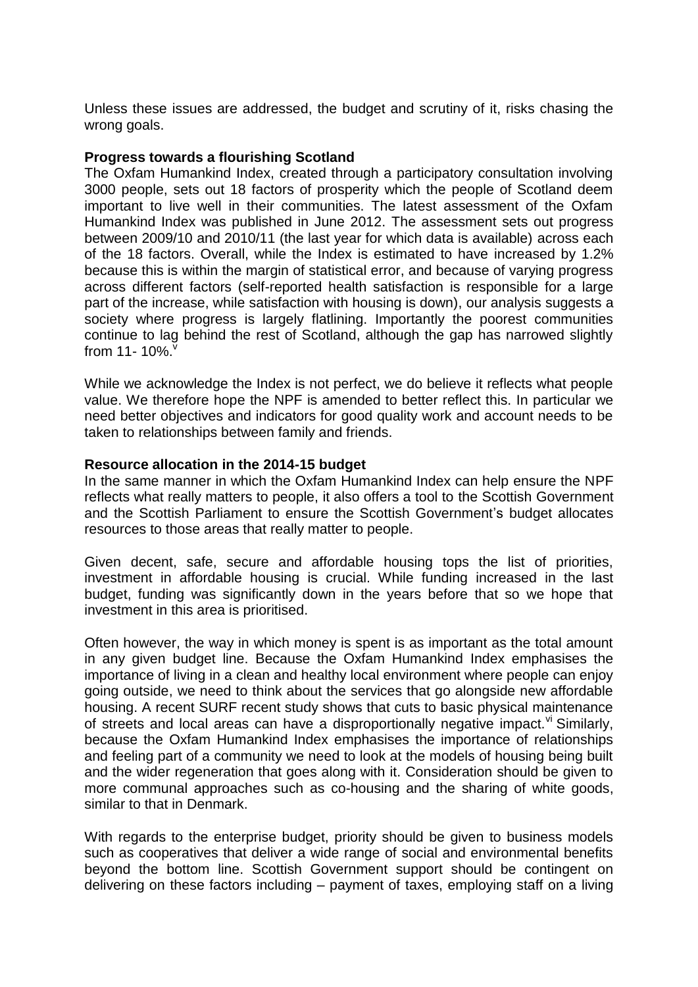Unless these issues are addressed, the budget and scrutiny of it, risks chasing the wrong goals.

### **Progress towards a flourishing Scotland**

The Oxfam Humankind Index, created through a participatory consultation involving 3000 people, sets out 18 factors of prosperity which the people of Scotland deem important to live well in their communities. The latest assessment of the Oxfam Humankind Index was published in June 2012. The assessment sets out progress between 2009/10 and 2010/11 (the last year for which data is available) across each of the 18 factors. Overall, while the Index is estimated to have increased by 1.2% because this is within the margin of statistical error, and because of varying progress across different factors (self-reported health satisfaction is responsible for a large part of the increase, while satisfaction with housing is down), our analysis suggests a society where progress is largely flatlining. Importantly the poorest communities continue to lag behind the rest of Scotland, although the gap has narrowed slightly from 11-  $10\%$ .

While we acknowledge the Index is not perfect, we do believe it reflects what people value. We therefore hope the NPF is amended to better reflect this. In particular we need better objectives and indicators for good quality work and account needs to be taken to relationships between family and friends.

#### **Resource allocation in the 2014-15 budget**

In the same manner in which the Oxfam Humankind Index can help ensure the NPF reflects what really matters to people, it also offers a tool to the Scottish Government and the Scottish Parliament to ensure the Scottish Government's budget allocates resources to those areas that really matter to people.

Given decent, safe, secure and affordable housing tops the list of priorities, investment in affordable housing is crucial. While funding increased in the last budget, funding was significantly down in the years before that so we hope that investment in this area is prioritised.

Often however, the way in which money is spent is as important as the total amount in any given budget line. Because the Oxfam Humankind Index emphasises the importance of living in a clean and healthy local environment where people can enjoy going outside, we need to think about the services that go alongside new affordable housing. A recent SURF recent study shows that cuts to basic physical maintenance of streets and local areas can have a disproportionally negative impact.  $\theta$ <sup>i</sup> Similarly, because the Oxfam Humankind Index emphasises the importance of relationships and feeling part of a community we need to look at the models of housing being built and the wider regeneration that goes along with it. Consideration should be given to more communal approaches such as co-housing and the sharing of white goods, similar to that in Denmark.

With regards to the enterprise budget, priority should be given to business models such as cooperatives that deliver a wide range of social and environmental benefits beyond the bottom line. Scottish Government support should be contingent on delivering on these factors including – payment of taxes, employing staff on a living